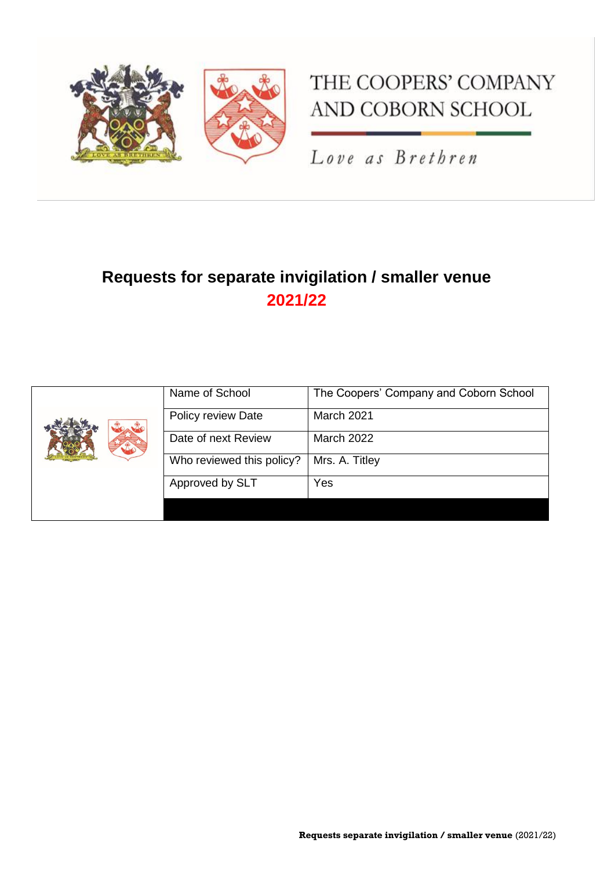

# THE COOPERS' COMPANY AND COBORN SCHOOL

Love as Brethren

## **Requests for separate invigilation / smaller venue 2021/22**

|  | Name of School            | The Coopers' Company and Coborn School |
|--|---------------------------|----------------------------------------|
|  | Policy review Date        | March 2021                             |
|  | Date of next Review       | <b>March 2022</b>                      |
|  | Who reviewed this policy? | Mrs. A. Titley                         |
|  | Approved by SLT           | Yes                                    |
|  |                           |                                        |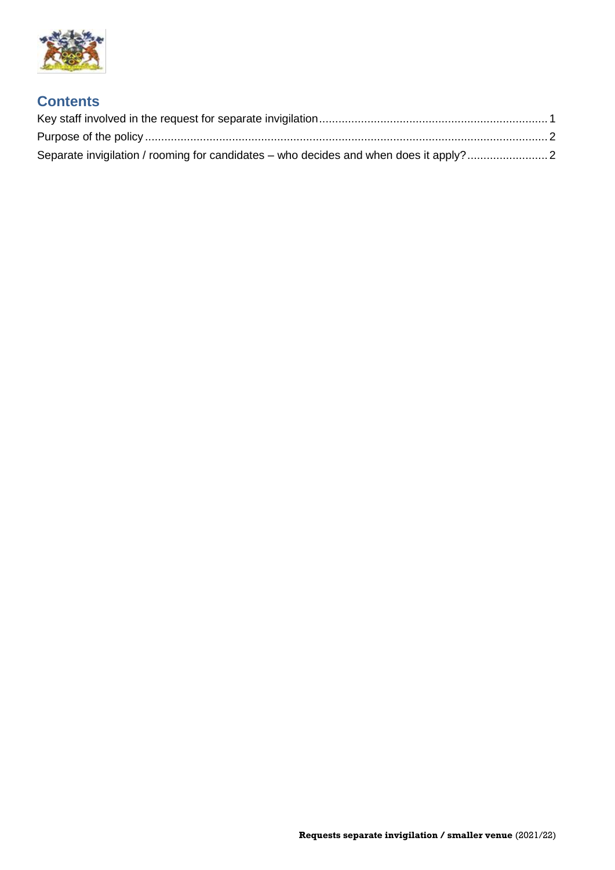

#### **Contents**

| Separate invigilation / rooming for candidates – who decides and when does it apply? |  |
|--------------------------------------------------------------------------------------|--|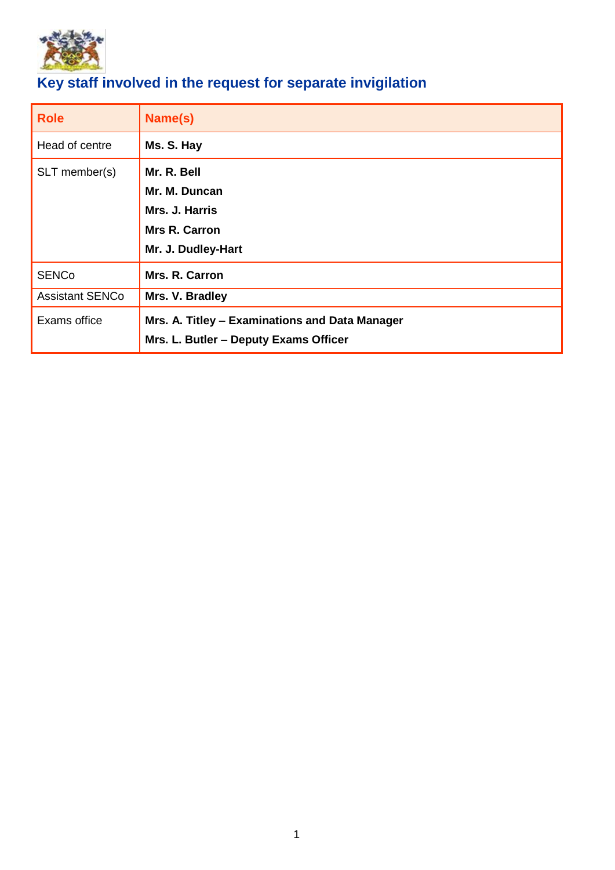

### <span id="page-2-0"></span>**Key staff involved in the request for separate invigilation**

| <b>Role</b>            | Name(s)                                                                                 |  |
|------------------------|-----------------------------------------------------------------------------------------|--|
| Head of centre         | Ms. S. Hay                                                                              |  |
| SLT member(s)          | Mr. R. Bell<br>Mr. M. Duncan<br>Mrs. J. Harris<br>Mrs R. Carron<br>Mr. J. Dudley-Hart   |  |
| <b>SENCo</b>           | Mrs. R. Carron                                                                          |  |
| <b>Assistant SENCo</b> | Mrs. V. Bradley                                                                         |  |
| Exams office           | Mrs. A. Titley - Examinations and Data Manager<br>Mrs. L. Butler – Deputy Exams Officer |  |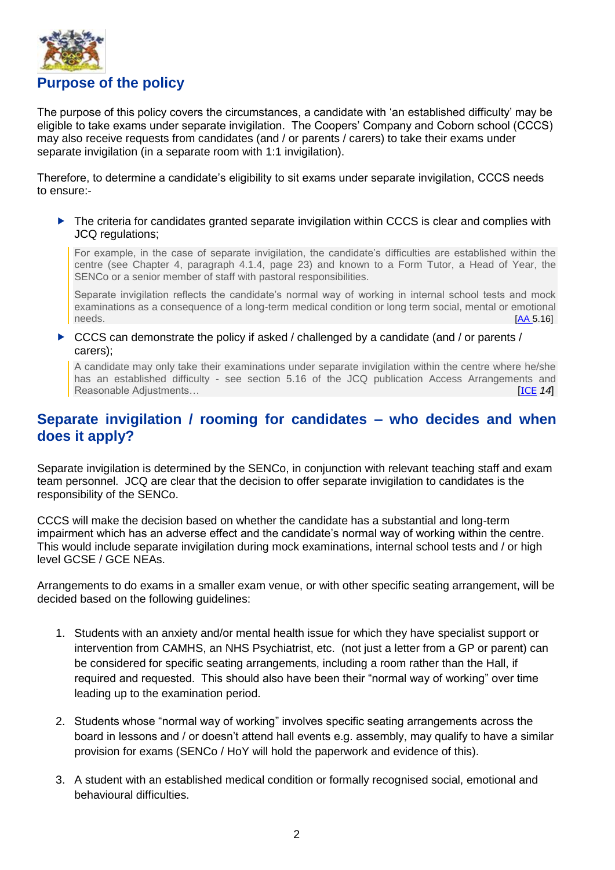

<span id="page-3-0"></span>The purpose of this policy covers the circumstances, a candidate with 'an established difficulty' may be eligible to take exams under separate invigilation. The Coopers' Company and Coborn school (CCCS) may also receive requests from candidates (and / or parents / carers) to take their exams under separate invigilation (in a separate room with 1:1 invigilation).

Therefore, to determine a candidate's eligibility to sit exams under separate invigilation, CCCS needs to ensure:-

▶ The criteria for candidates granted separate invigilation within CCCS is clear and complies with JCQ regulations;

For example, in the case of separate invigilation, the candidate's difficulties are established within the centre (see Chapter 4, paragraph 4.1.4, page 23) and known to a Form Tutor, a Head of Year, the SENCo or a senior member of staff with pastoral responsibilities.

Separate invigilation reflects the candidate's normal way of working in internal school tests and mock examinations as a consequence of a long-term medical condition or long term social, mental or emotional needs.[\[AA](https://www.jcq.org.uk/wp-content/uploads/2021/11/AA_regs_21-22_FINAL.pdf) 5.16]

 $\triangleright$  CCCS can demonstrate the policy if asked / challenged by a candidate (and / or parents / carers);

A candidate may only take their examinations under separate invigilation within the centre where he/she has an established difficulty - see section 5.16 of the JCQ publication Access Arrangements and **Reasonable Adjustments… Example 20** is the contract of the contract of the contract of the contract of the contract of the contract of the contract of the contract of the contract of the contract of the contract of the

#### <span id="page-3-1"></span>**Separate invigilation / rooming for candidates – who decides and when does it apply?**

Separate invigilation is determined by the SENCo, in conjunction with relevant teaching staff and exam team personnel. JCQ are clear that the decision to offer separate invigilation to candidates is the responsibility of the SENCo.

CCCS will make the decision based on whether the candidate has a substantial and long-term impairment which has an adverse effect and the candidate's normal way of working within the centre. This would include separate invigilation during mock examinations, internal school tests and / or high level GCSE / GCE NEAs.

Arrangements to do exams in a smaller exam venue, or with other specific seating arrangement, will be decided based on the following quidelines:

- 1. Students with an anxiety and/or mental health issue for which they have specialist support or intervention from CAMHS, an NHS Psychiatrist, etc. (not just a letter from a GP or parent) can be considered for specific seating arrangements, including a room rather than the Hall, if required and requested. This should also have been their "normal way of working" over time leading up to the examination period.
- 2. Students whose "normal way of working" involves specific seating arrangements across the board in lessons and / or doesn't attend hall events e.g. assembly, may qualify to have a similar provision for exams (SENCo / HoY will hold the paperwork and evidence of this).
- 3. A student with an established medical condition or formally recognised social, emotional and behavioural difficulties.